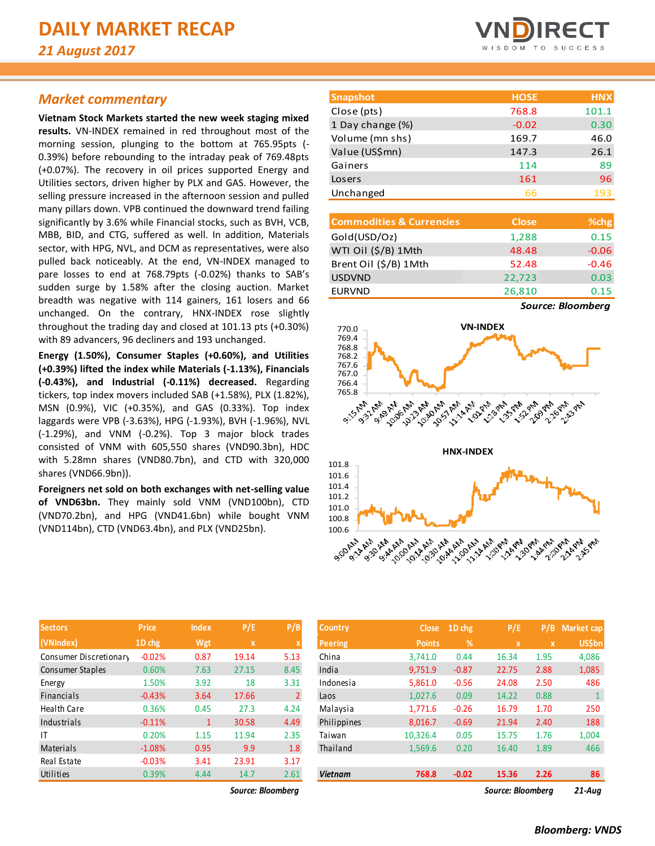# *Market commentary*

**Vietnam Stock Markets started the new week staging mixed results.** VN-INDEX remained in red throughout most of the morning session, plunging to the bottom at 765.95pts (- 0.39%) before rebounding to the intraday peak of 769.48pts (+0.07%). The recovery in oil prices supported Energy and Utilities sectors, driven higher by PLX and GAS. However, the selling pressure increased in the afternoon session and pulled many pillars down. VPB continued the downward trend failing significantly by 3.6% while Financial stocks, such as BVH, VCB, MBB, BID, and CTG, suffered as well. In addition, Materials sector, with HPG, NVL, and DCM as representatives, were also pulled back noticeably. At the end, VN-INDEX managed to pare losses to end at 768.79pts (-0.02%) thanks to SAB's sudden surge by 1.58% after the closing auction. Market breadth was negative with 114 gainers, 161 losers and 66 unchanged. On the contrary, HNX-INDEX rose slightly throughout the trading day and closed at 101.13 pts (+0.30%) with 89 advancers, 96 decliners and 193 unchanged.

**Energy (1.50%), Consumer Staples (+0.60%), and Utilities (+0.39%) lifted the index while Materials (-1.13%), Financials (-0.43%), and Industrial (-0.11%) decreased.** Regarding tickers, top index movers included SAB (+1.58%), PLX (1.82%), MSN (0.9%), VIC (+0.35%), and GAS (0.33%). Top index laggards were VPB (-3.63%), HPG (-1.93%), BVH (-1.96%), NVL (-1.29%), and VNM (-0.2%). Top 3 major block trades consisted of VNM with 605,550 shares (VND90.3bn), HDC with 5.28mn shares (VND80.7bn), and CTD with 320,000 shares (VND66.9bn)).

**Foreigners net sold on both exchanges with net-selling value of VND63bn.** They mainly sold VNM (VND100bn), CTD (VND70.2bn), and HPG (VND41.6bn) while bought VNM (VND114bn), CTD (VND63.4bn), and PLX (VND25bn).



| <b>Snapshot</b>  | <b>HOSE</b> | <b>HNX</b> |
|------------------|-------------|------------|
| Close (pts)      | 768.8       | 101.1      |
| 1 Day change (%) | $-0.02$     | 0.30       |
| Volume (mn shs)  | 169.7       | 46.0       |
| Value (US\$mn)   | 147.3       | 26.1       |
| Gainers          | 114         | 89         |
| Losers           | 161         | 96         |
| Unchanged        | 66          | 193        |
|                  |             |            |

| <b>Commodities &amp; Currencies</b> | <b>Close</b> | % <sub>chg</sub> |
|-------------------------------------|--------------|------------------|
| Gold(USD/Oz)                        | 1,288        | 0.15             |
| WTI Oil (\$/B) 1Mth                 | 48.48        | $-0.06$          |
| Brent Oil (\$/B) 1Mth               | 52.48        | $-0.46$          |
| <b>USDVND</b>                       | 22,723       | 0.03             |
| <b>EURVND</b>                       | 26,810       | 0.15             |
|                                     |              |                  |

*Source: Bloomberg*



| <b>Sectors</b>          | <b>Price</b> | <b>Index</b> | P/E   | P/B            |
|-------------------------|--------------|--------------|-------|----------------|
| (VNIndex)               | 1D chg       | Wgt          | x     | X              |
| Consumer Discretionary  | $-0.02%$     | 0.87         | 19.14 | 5.13           |
| <b>Consumer Staples</b> | 0.60%        | 7.63         | 27.15 | 8.45           |
| Energy                  | 1.50%        | 3.92         | 18    | 3.31           |
| <b>Financials</b>       | $-0.43%$     | 3.64         | 17.66 | $\overline{2}$ |
| <b>Health Care</b>      | 0.36%        | 0.45         | 27.3  | 4.24           |
| Industrials             | $-0.11%$     | 1            | 30.58 | 4.49           |
| ΙT                      | 0.20%        | 1.15         | 11.94 | 2.35           |
| Materials               | $-1.08%$     | 0.95         | 9.9   | 1.8            |
| Real Estate             | $-0.03%$     | 3.41         | 23.91 | 3.17           |
| Utilities               | 0.39%        | 4.44         | 14.7  | 2.61           |

*Source: Bloomberg Source: Bloomberg 21-Aug*

| <b>Sectors</b>         | <b>Price</b> | <b>Index</b> | P/E               | P/B            | <b>Country</b> | <b>Close</b>  | 1D chg  | P/E               | P/B          |  |
|------------------------|--------------|--------------|-------------------|----------------|----------------|---------------|---------|-------------------|--------------|--|
| (VNIndex)              | 1D chg       | Wgt          | $\mathbf{x}$      |                | <b>Peering</b> | <b>Points</b> | %       | $\mathbf x$       | $\mathbf{x}$ |  |
| Consumer Discretionary | $-0.02%$     | 0.87         | 19.14             | 5.13           | China          | 3.741.0       | 0.44    | 16.34             | 1.95         |  |
| Consumer Staples       | 0.60%        | 7.63         | 27.15             | 8.45           | India          | 9,751.9       | $-0.87$ | 22.75             | 2.88         |  |
| Energy                 | 1.50%        | 3.92         | 18                | 3.31           | Indonesia      | 5,861.0       | $-0.56$ | 24.08             | 2.50         |  |
| Financials             | $-0.43%$     | 3.64         | 17.66             | $\overline{2}$ | Laos           | 1,027.6       | 0.09    | 14.22             | 0.88         |  |
| Health Care            | 0.36%        | 0.45         | 27.3              | 4.24           | Malaysia       | 1,771.6       | $-0.26$ | 16.79             | 1.70         |  |
| Industrials            | $-0.11%$     | $\mathbf{1}$ | 30.58             | 4.49           | Philippines    | 8.016.7       | $-0.69$ | 21.94             | 2.40         |  |
|                        | 0.20%        | 1.15         | 11.94             | 2.35           | Taiwan         | 10,326.4      | 0.05    | 15.75             | 1.76         |  |
| Materials              | $-1.08%$     | 0.95         | 9.9               | 1.8            | Thailand       | 1,569.6       | 0.20    | 16.40             | 1.89         |  |
| Real Estate            | $-0.03%$     | 3.41         | 23.91             | 3.17           |                |               |         |                   |              |  |
| Utilities              | 0.39%        | 4.44         | 14.7              | 2.61           | <b>Vietnam</b> | 768.8         | $-0.02$ | 15.36             | 2.26         |  |
|                        |              |              | Source: Bloombera |                |                |               |         | Source: Bloombera |              |  |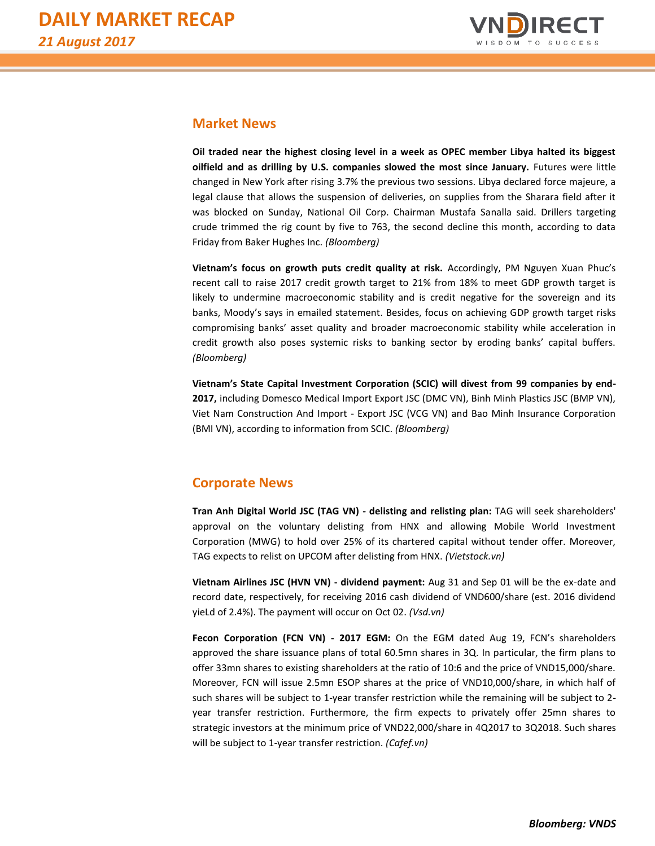

# **Market News**

**Oil traded near the highest closing level in a week as OPEC member Libya halted its biggest oilfield and as drilling by U.S. companies slowed the most since January.** Futures were little changed in New York after rising 3.7% the previous two sessions. Libya declared force majeure, a legal clause that allows the suspension of deliveries, on supplies from the Sharara field after it was blocked on Sunday, National Oil Corp. Chairman Mustafa Sanalla said. Drillers targeting crude trimmed the rig count by five to 763, the second decline this month, according to data Friday from Baker Hughes Inc. *(Bloomberg)*

**Vietnam's focus on growth puts credit quality at risk.** Accordingly, PM Nguyen Xuan Phuc's recent call to raise 2017 credit growth target to 21% from 18% to meet GDP growth target is likely to undermine macroeconomic stability and is credit negative for the sovereign and its banks, Moody's says in emailed statement. Besides, focus on achieving GDP growth target risks compromising banks' asset quality and broader macroeconomic stability while acceleration in credit growth also poses systemic risks to banking sector by eroding banks' capital buffers. *(Bloomberg)*

**Vietnam's State Capital Investment Corporation (SCIC) will divest from 99 companies by end-2017,** including Domesco Medical Import Export JSC (DMC VN), Binh Minh Plastics JSC (BMP VN), Viet Nam Construction And Import - Export JSC (VCG VN) and Bao Minh Insurance Corporation (BMI VN), according to information from SCIC. *(Bloomberg)*

# **Corporate News**

**Tran Anh Digital World JSC (TAG VN) - delisting and relisting plan:** TAG will seek shareholders' approval on the voluntary delisting from HNX and allowing Mobile World Investment Corporation (MWG) to hold over 25% of its chartered capital without tender offer. Moreover, TAG expects to relist on UPCOM after delisting from HNX. *(Vietstock.vn)*

**Vietnam Airlines JSC (HVN VN) - dividend payment:** Aug 31 and Sep 01 will be the ex-date and record date, respectively, for receiving 2016 cash dividend of VND600/share (est. 2016 dividend yieLd of 2.4%). The payment will occur on Oct 02. *(Vsd.vn)*

**Fecon Corporation (FCN VN) - 2017 EGM:** On the EGM dated Aug 19, FCN's shareholders approved the share issuance plans of total 60.5mn shares in 3Q. In particular, the firm plans to offer 33mn shares to existing shareholders at the ratio of 10:6 and the price of VND15,000/share. Moreover, FCN will issue 2.5mn ESOP shares at the price of VND10,000/share, in which half of such shares will be subject to 1-year transfer restriction while the remaining will be subject to 2 year transfer restriction. Furthermore, the firm expects to privately offer 25mn shares to strategic investors at the minimum price of VND22,000/share in 4Q2017 to 3Q2018. Such shares will be subject to 1-year transfer restriction. *(Cafef.vn)*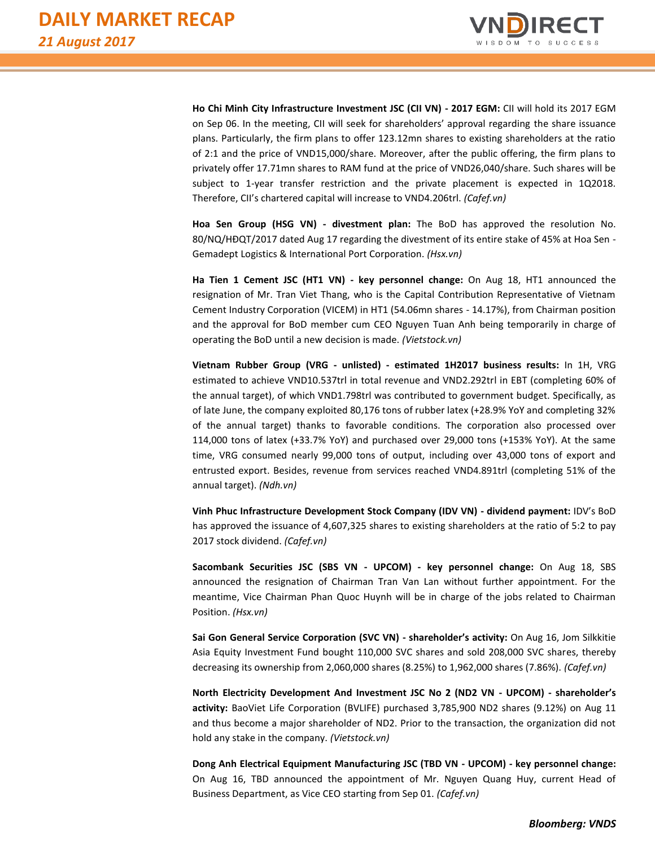

**Ho Chi Minh City Infrastructure Investment JSC (CII VN) - 2017 EGM:** CII will hold its 2017 EGM on Sep 06. In the meeting, CII will seek for shareholders' approval regarding the share issuance plans. Particularly, the firm plans to offer 123.12mn shares to existing shareholders at the ratio of 2:1 and the price of VND15,000/share. Moreover, after the public offering, the firm plans to privately offer 17.71mn shares to RAM fund at the price of VND26,040/share. Such shares will be subject to 1-year transfer restriction and the private placement is expected in 1Q2018. Therefore, CII's chartered capital will increase to VND4.206trl. *(Cafef.vn)*

**Hoa Sen Group (HSG VN) - divestment plan:** The BoD has approved the resolution No. 80/NQ/HĐQT/2017 dated Aug 17 regarding the divestment of its entire stake of 45% at Hoa Sen - Gemadept Logistics & International Port Corporation. *(Hsx.vn)*

**Ha Tien 1 Cement JSC (HT1 VN) - key personnel change:** On Aug 18, HT1 announced the resignation of Mr. Tran Viet Thang, who is the Capital Contribution Representative of Vietnam Cement Industry Corporation (VICEM) in HT1 (54.06mn shares - 14.17%), from Chairman position and the approval for BoD member cum CEO Nguyen Tuan Anh being temporarily in charge of operating the BoD until a new decision is made. *(Vietstock.vn)*

**Vietnam Rubber Group (VRG - unlisted) - estimated 1H2017 business results:** In 1H, VRG estimated to achieve VND10.537trl in total revenue and VND2.292trl in EBT (completing 60% of the annual target), of which VND1.798trl was contributed to government budget. Specifically, as of late June, the company exploited 80,176 tons of rubber latex (+28.9% YoY and completing 32% of the annual target) thanks to favorable conditions. The corporation also processed over 114,000 tons of latex (+33.7% YoY) and purchased over 29,000 tons (+153% YoY). At the same time, VRG consumed nearly 99,000 tons of output, including over 43,000 tons of export and entrusted export. Besides, revenue from services reached VND4.891trl (completing 51% of the annual target). *(Ndh.vn)*

**Vinh Phuc Infrastructure Development Stock Company (IDV VN) - dividend payment:** IDV's BoD has approved the issuance of 4,607,325 shares to existing shareholders at the ratio of 5:2 to pay 2017 stock dividend. *(Cafef.vn)*

**Sacombank Securities JSC (SBS VN - UPCOM) - key personnel change:** On Aug 18, SBS announced the resignation of Chairman Tran Van Lan without further appointment. For the meantime, Vice Chairman Phan Quoc Huynh will be in charge of the jobs related to Chairman Position. *(Hsx.vn)*

**Sai Gon General Service Corporation (SVC VN) - shareholder's activity:** On Aug 16, Jom Silkkitie Asia Equity Investment Fund bought 110,000 SVC shares and sold 208,000 SVC shares, thereby decreasing its ownership from 2,060,000 shares (8.25%) to 1,962,000 shares (7.86%). *(Cafef.vn)*

**North Electricity Development And Investment JSC No 2 (ND2 VN - UPCOM) - shareholder's activity:** BaoViet Life Corporation (BVLIFE) purchased 3,785,900 ND2 shares (9.12%) on Aug 11 and thus become a major shareholder of ND2. Prior to the transaction, the organization did not hold any stake in the company. *(Vietstock.vn)*

**Dong Anh Electrical Equipment Manufacturing JSC (TBD VN - UPCOM) - key personnel change:** On Aug 16, TBD announced the appointment of Mr. Nguyen Quang Huy, current Head of Business Department, as Vice CEO starting from Sep 01. *(Cafef.vn)*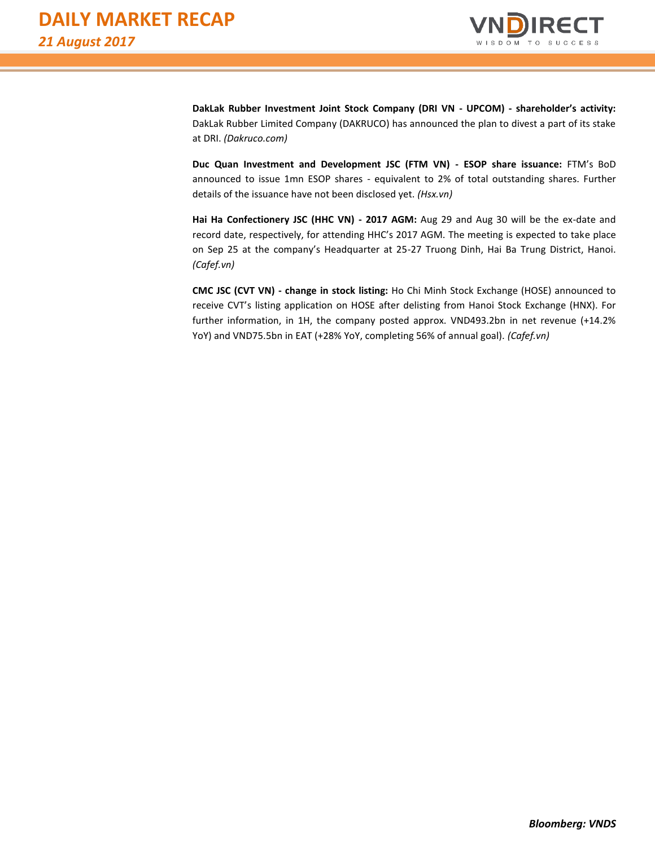

**DakLak Rubber Investment Joint Stock Company (DRI VN - UPCOM) - shareholder's activity:** DakLak Rubber Limited Company (DAKRUCO) has announced the plan to divest a part of its stake at DRI. *(Dakruco.com)*

**Duc Quan Investment and Development JSC (FTM VN) - ESOP share issuance:** FTM's BoD announced to issue 1mn ESOP shares - equivalent to 2% of total outstanding shares. Further details of the issuance have not been disclosed yet. *(Hsx.vn)*

**Hai Ha Confectionery JSC (HHC VN) - 2017 AGM:** Aug 29 and Aug 30 will be the ex-date and record date, respectively, for attending HHC's 2017 AGM. The meeting is expected to take place on Sep 25 at the company's Headquarter at 25-27 Truong Dinh, Hai Ba Trung District, Hanoi. *(Cafef.vn)*

**CMC JSC (CVT VN) - change in stock listing:** Ho Chi Minh Stock Exchange (HOSE) announced to receive CVT's listing application on HOSE after delisting from Hanoi Stock Exchange (HNX). For further information, in 1H, the company posted approx. VND493.2bn in net revenue (+14.2% YoY) and VND75.5bn in EAT (+28% YoY, completing 56% of annual goal). *(Cafef.vn)*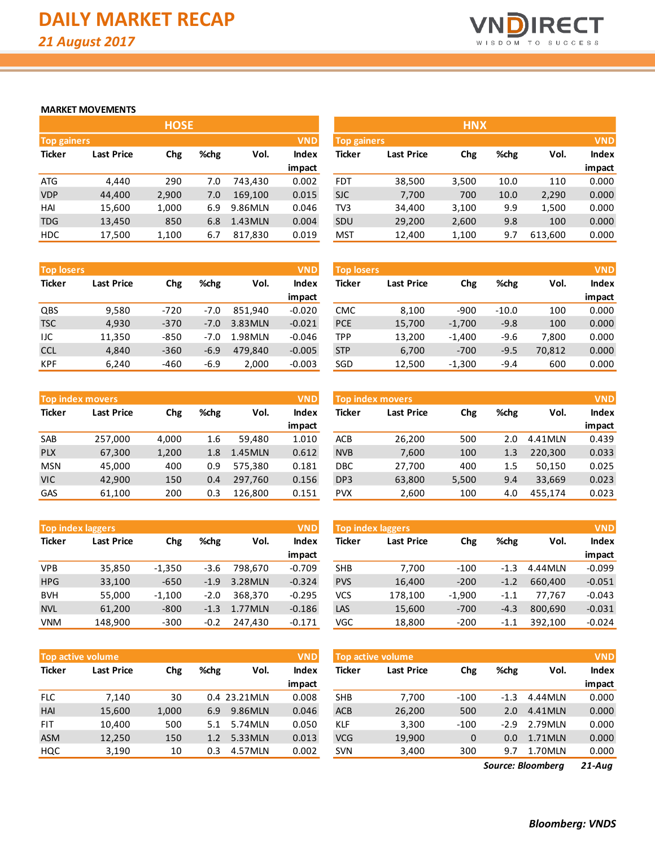

#### **MARKET MOVEMENTS**

|                    |                   | <b>HOSE</b> |      |                                |            |                    |        | <b>HNX</b> |
|--------------------|-------------------|-------------|------|--------------------------------|------------|--------------------|--------|------------|
| <b>Top gainers</b> |                   |             |      |                                | <b>VND</b> | <b>Top gainers</b> |        |            |
| <b>Ticker</b>      | <b>Last Price</b> | Chg         | %chg | Index<br><b>Ticker</b><br>Vol. |            | Last Price         | Chg    |            |
|                    |                   |             |      |                                | impact     |                    |        |            |
| <b>ATG</b>         | 4.440             | 290         | 7.0  | 743.430                        | 0.002      | <b>FDT</b>         | 38,500 | 3,500      |
| <b>VDP</b>         | 44,400            | 2,900       | 7.0  | 169,100                        | 0.015      | <b>SJC</b>         | 7,700  | 700        |
| HAI                | 15,600            | 1,000       | 6.9  | 9.86MLN                        | 0.046      | TV <sub>3</sub>    | 34,400 | 3,100      |
| <b>TDG</b>         | 13,450            | 850         | 6.8  | 1.43 MLN                       | 0.004      | SDU                | 29,200 | 2,600      |
| <b>HDC</b>         | 17,500            | 1,100       | 6.7  | 817,830                        | 0.019      | <b>MST</b>         | 12,400 | 1,100      |

| <b>Top losers</b> |                   |        |        |         | <b>VND</b> |
|-------------------|-------------------|--------|--------|---------|------------|
| <b>Ticker</b>     | <b>Last Price</b> | Chg    | %chg   | Vol.    | Index      |
|                   |                   |        |        |         | impact     |
| QBS               | 9,580             | $-720$ | $-7.0$ | 851,940 | $-0.020$   |
| <b>TSC</b>        | 4,930             | $-370$ | $-7.0$ | 3.83MLN | $-0.021$   |
| IJC               | 11,350            | $-850$ | $-7.0$ | 1.98MLN | $-0.046$   |
| <b>CCL</b>        | 4,840             | $-360$ | $-6.9$ | 479,840 | $-0.005$   |
| <b>KPF</b>        | 6,240             | -460   | $-6.9$ | 2,000   | $-0.003$   |

|               | <b>Top index movers</b> |       |      |          | <b>VND</b>   |
|---------------|-------------------------|-------|------|----------|--------------|
| <b>Ticker</b> | <b>Last Price</b>       | Chg   | %chg | Vol.     | <b>Index</b> |
|               |                         |       |      |          | impact       |
| <b>SAB</b>    | 257,000                 | 4,000 | 1.6  | 59,480   | 1.010        |
| <b>PLX</b>    | 67,300                  | 1,200 | 1.8  | 1.45 MLN | 0.612        |
| <b>MSN</b>    | 45,000                  | 400   | 0.9  | 575,380  | 0.181        |
| <b>VIC</b>    | 42,900                  | 150   | 0.4  | 297,760  | 0.156        |
| GAS           | 61,100                  | 200   | 0.3  | 126,800  | 0.151        |

| <b>Top index laggers</b> |                   |          |        |         | <b>VND</b>   |
|--------------------------|-------------------|----------|--------|---------|--------------|
| <b>Ticker</b>            | <b>Last Price</b> | Chg      | %chg   | Vol.    | <b>Index</b> |
|                          |                   |          |        |         | impact       |
| VPB                      | 35,850            | $-1,350$ | $-3.6$ | 798,670 | $-0.709$     |
| <b>HPG</b>               | 33,100            | $-650$   | $-1.9$ | 3.28MLN | $-0.324$     |
| <b>BVH</b>               | 55,000            | $-1,100$ | $-2.0$ | 368,370 | $-0.295$     |
| <b>NVL</b>               | 61,200            | $-800$   | $-1.3$ | 1.77MLN | $-0.186$     |
| VNM                      | 148,900           | $-300$   | $-0.2$ | 247.430 | $-0.171$     |

| <b>VND</b> |
|------------|
| Index      |
| impact     |
| 0.000      |
| 0.000      |
| 0.000      |
| 0.000      |
| 0.000      |
|            |

| <b>Top losers</b> |                   |        |        |          | <b>VND</b>   | <b>Top losers</b> |                   |          |         |        | <b>VND</b>   |
|-------------------|-------------------|--------|--------|----------|--------------|-------------------|-------------------|----------|---------|--------|--------------|
| Ticker            | <b>Last Price</b> | Chg    | %chg   | Vol.     | <b>Index</b> | Ticker            | <b>Last Price</b> | Chg      | %chg    | Vol.   | <b>Index</b> |
|                   |                   |        |        |          | impact       |                   |                   |          |         |        | impact       |
| QBS               | 9,580             | $-720$ | $-7.0$ | 851.940  | $-0.020$     | <b>CMC</b>        | 8,100             | $-900$   | $-10.0$ | 100    | 0.000        |
| TSC               | 4,930             | $-370$ | $-7.0$ | 3.83 MLN | $-0.021$     | <b>PCE</b>        | 15,700            | $-1,700$ | $-9.8$  | 100    | 0.000        |
| IJC               | 11,350            | $-850$ | $-7.0$ | 1.98MLN  | $-0.046$     | TPP               | 13,200            | $-1.400$ | $-9.6$  | 7.800  | 0.000        |
| <b>CCL</b>        | 4,840             | $-360$ | $-6.9$ | 479.840  | $-0.005$     | <b>STP</b>        | 6,700             | $-700$   | $-9.5$  | 70,812 | 0.000        |
| KPF               | 6,240             | $-460$ | $-6.9$ | 2,000    | $-0.003$     | SGD               | 12,500            | $-1,300$ | $-9.4$  | 600    | 0.000        |

|            | <b>Top index movers</b> |       |      |          | <b>VND</b> | <b>Top index movers</b> |                   |       |      |         | <b>VND</b>   |
|------------|-------------------------|-------|------|----------|------------|-------------------------|-------------------|-------|------|---------|--------------|
| Ticker     | <b>Last Price</b>       | Chg   | %chg | Vol.     | Index      | Ticker                  | <b>Last Price</b> | Chg   | %chg | Vol.    | <b>Index</b> |
|            |                         |       |      |          | impact     |                         |                   |       |      |         | impact       |
| SAB        | 257.000                 | 4,000 | 1.6  | 59.480   | 1.010      | <b>ACB</b>              | 26,200            | 500   | 2.0  | 4.41MLN | 0.439        |
| <b>PLX</b> | 67,300                  | 1,200 | 1.8  | 1.45 MLN | 0.612      | <b>NVB</b>              | 7,600             | 100   | 1.3  | 220.300 | 0.033        |
| <b>MSN</b> | 45,000                  | 400   | 0.9  | 575.380  | 0.181      | <b>DBC</b>              | 27,700            | 400   | 1.5  | 50.150  | 0.025        |
| VIC        | 42.900                  | 150   | 0.4  | 297.760  | 0.156      | DP <sub>3</sub>         | 63,800            | 5,500 | 9.4  | 33.669  | 0.023        |
| GAS        | 61,100                  | 200   | 0.3  | 126.800  | 0.151      | <b>PVX</b>              | 2,600             | 100   | 4.0  | 455.174 | 0.023        |

| <b>Top index laggers</b> |                   |          |        |         | <b>VND</b> | <b>Top index laggers</b> |                   |          |        |          | <b>VND</b> |  |  |
|--------------------------|-------------------|----------|--------|---------|------------|--------------------------|-------------------|----------|--------|----------|------------|--|--|
| Ticker                   | <b>Last Price</b> | Chg      | %chg   | Vol.    | Index      | Ticker                   | <b>Last Price</b> | Chg      | %chg   | Vol.     | Index      |  |  |
|                          |                   |          |        |         | impact     |                          |                   |          |        |          | impact     |  |  |
| VPB                      | 35,850            | $-1,350$ | $-3.6$ | 798.670 | $-0.709$   | <b>SHB</b>               | 7.700             | $-100$   | -1.3   | 4.44 MLN | $-0.099$   |  |  |
| <b>HPG</b>               | 33,100            | $-650$   | $-1.9$ | 3.28MLN | $-0.324$   | <b>PVS</b>               | 16,400            | $-200$   | $-1.2$ | 660.400  | $-0.051$   |  |  |
| <b>BVH</b>               | 55,000            | $-1,100$ | $-2.0$ | 368.370 | $-0.295$   | VCS                      | 178,100           | $-1.900$ | -1.1   | 77.767   | $-0.043$   |  |  |
| <b>NVL</b>               | 61,200            | $-800$   | $-1.3$ | 1.77MLN | $-0.186$   | <b>LAS</b>               | 15,600            | $-700$   | $-4.3$ | 800.690  | $-0.031$   |  |  |
| VNM                      | 148,900           | $-300$   | $-0.2$ | 247,430 | $-0.171$   | VGC                      | 18,800            | $-200$   | -1.1   | 392,100  | $-0.024$   |  |  |

|            | <b>Top active volume</b> |       |      |              | <b>VND</b> |            | <b>Top active volume</b> |        |        |          | <b>VND</b> |
|------------|--------------------------|-------|------|--------------|------------|------------|--------------------------|--------|--------|----------|------------|
| Ticker     | <b>Last Price</b>        | Chg   | %chg | Vol.         | Index      | Ticker     | <b>Last Price</b>        | Chg    | %chg   | Vol.     | Index      |
|            |                          |       |      |              | impact     |            |                          |        |        |          | impact     |
| FLC        | 7.140                    | 30    |      | 0.4 23.21MLN | 0.008      | <b>SHB</b> | 7,700                    | $-100$ | $-1.3$ | 4.44 MLN | 0.000      |
| <b>HAI</b> | 15,600                   | 1,000 | 6.9  | 9.86MLN      | 0.046      | <b>ACB</b> | 26,200                   | 500    | 2.0    | 4.41MLN  | 0.000      |
| <b>FIT</b> | 10.400                   | 500   | 5.1  | 5.74 MLN     | 0.050      | <b>KLF</b> | 3,300                    | $-100$ | $-2.9$ | 2.79MLN  | 0.000      |
| <b>ASM</b> | 12,250                   | 150   | 1.2  | 5.33 MLN     | 0.013      | VCG        | 19,900                   | 0      | 0.0    | 1.71MLN  | 0.000      |
| HQC        | 3,190                    | 10    | 0.3  | 4.57MLN      | 0.002      | <b>SVN</b> | 3,400                    | 300    | 9.7    | 1.70MLN  | 0.000      |
|            |                          |       |      |              |            |            |                          |        |        |          |            |

*21-Aug Source: Bloomberg*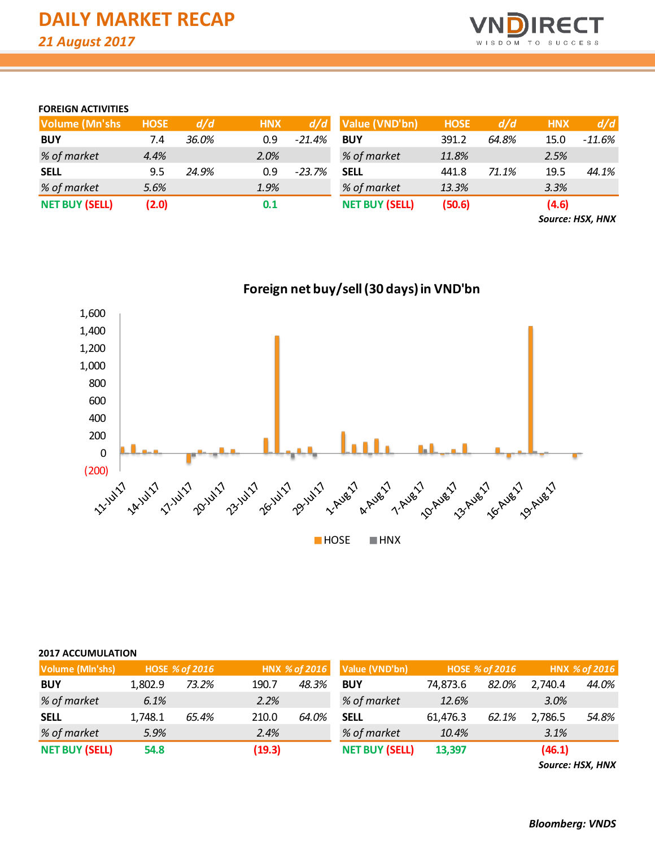

### **FOREIGN ACTIVITIES**

| <b>Volume (Mn'shs)</b> | <b>HOSE</b> | d/d   | <b>HNX</b> | d/d      | Value (VND'bn)        | <b>HOSE</b> | d/d   | <b>HNX</b> | d/d    |
|------------------------|-------------|-------|------------|----------|-----------------------|-------------|-------|------------|--------|
| <b>BUY</b>             | 7.4         | 36.0% | 0.9        | $-21.4%$ | <b>BUY</b>            | 391.2       | 64.8% | 15.0       | -11.6% |
| % of market            | 4.4%        |       | 2.0%       |          | % of market           | 11.8%       |       | 2.5%       |        |
| <b>SELL</b>            | 9.5         | 24.9% | 0.9        | -23.7%   | <b>SELL</b>           | 441.8       | 71.1% | 19.5       | 44.1%  |
| % of market            | 5.6%        |       | 1.9%       |          | % of market           | 13.3%       |       | 3.3%       |        |
| <b>NET BUY (SELL)</b>  | (2.0)       |       | 0.1        |          | <b>NET BUY (SELL)</b> | (50.6)      |       | (4.6)      |        |

*Source: HSX, HNX*



## **2017 ACCUMULATION**

| Volume (Mln'shs)      |         | <b>HOSE % of 2016</b> |        | HNX % of 2016 | Value (VND'bn)        |          | <b>HOSE % of 2016</b> |         | HNX % of 2016 |
|-----------------------|---------|-----------------------|--------|---------------|-----------------------|----------|-----------------------|---------|---------------|
| <b>BUY</b>            | 1.802.9 | 73.2%                 | 190.7  | 48.3%         | <b>BUY</b>            | 74.873.6 | 82.0%                 | 2.740.4 | 44.0%         |
| % of market           | 6.1%    |                       | 2.2%   |               | % of market           | 12.6%    |                       | 3.0%    |               |
| <b>SELL</b>           | 1,748.1 | 65.4%                 | 210.0  | 64.0%         | <b>SELL</b>           | 61,476.3 | 62.1%                 | 2,786.5 | 54.8%         |
| % of market           | 5.9%    |                       | 2.4%   |               | % of market           | 10.4%    |                       | 3.1%    |               |
| <b>NET BUY (SELL)</b> | 54.8    |                       | (19.3) |               | <b>NET BUY (SELL)</b> | 13,397   |                       | (46.1)  |               |

*Source: HSX, HNX*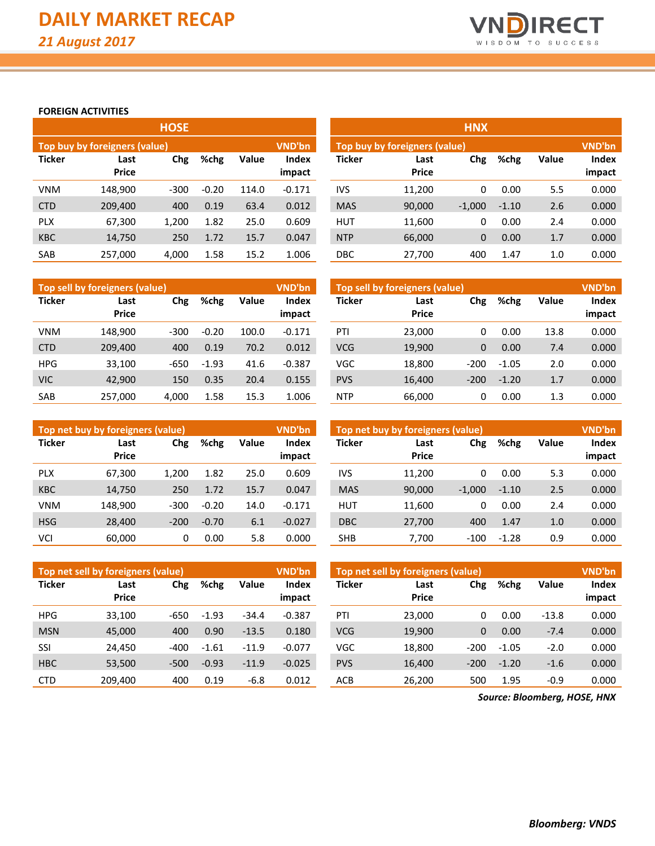

**impact**

#### **FOREIGN ACTIVITIES**

|               | Top buy by foreigners (value) |        |         | <b>VND'bn</b> |              |  |  |
|---------------|-------------------------------|--------|---------|---------------|--------------|--|--|
| <b>Ticker</b> | Last                          | Chg    | %chg    | <b>Value</b>  | <b>Index</b> |  |  |
|               | <b>Price</b>                  |        |         |               | impact       |  |  |
| VNM           | 148,900                       | $-300$ | $-0.20$ | 114.0         | $-0.171$     |  |  |
| <b>CTD</b>    | 209,400                       | 400    | 0.19    | 63.4          | 0.012        |  |  |
| <b>PLX</b>    | 67,300                        | 1,200  | 1.82    | 25.0          | 0.609        |  |  |
| <b>KBC</b>    | 14,750                        | 250    | 1.72    | 15.7          | 0.047        |  |  |
| SAB           | 257,000                       | 4,000  | 1.58    | 15.2          | 1.006        |  |  |

|            |                               | <b>HOSE</b> |         |       |                 | <b>HNX</b>    |                                |          |         |       |                 |  |  |
|------------|-------------------------------|-------------|---------|-------|-----------------|---------------|--------------------------------|----------|---------|-------|-----------------|--|--|
|            | Top buy by foreigners (value) |             |         |       | VND'bn          |               | Top buy by foreigners (value), |          |         |       | VND'bn          |  |  |
| Ticker     | Last<br><b>Price</b>          | Chg         | %chg    | Value | Index<br>impact | <b>Ticker</b> | Last<br><b>Price</b>           | Chg      | %chg    | Value | Index<br>impact |  |  |
| VNM        | 148,900                       | $-300$      | $-0.20$ | 114.0 | $-0.171$        | <b>IVS</b>    | 11,200                         | 0        | 0.00    | 5.5   | 0.000           |  |  |
| <b>CTD</b> | 209,400                       | 400         | 0.19    | 63.4  | 0.012           | <b>MAS</b>    | 90,000                         | $-1,000$ | $-1.10$ | 2.6   | 0.000           |  |  |
| <b>PLX</b> | 67,300                        | 1,200       | 1.82    | 25.0  | 0.609           | <b>HUT</b>    | 11,600                         | 0        | 0.00    | 2.4   | 0.000           |  |  |
| <b>KBC</b> | 14,750                        | 250         | 1.72    | 15.7  | 0.047           | <b>NTP</b>    | 66,000                         | 0        | 0.00    | 1.7   | 0.000           |  |  |
| SAB        | 257,000                       | 4,000       | 1.58    | 15.2  | 1.006           | <b>DBC</b>    | 27,700                         | 400      | 1.47    | 1.0   | 0.000           |  |  |

|               | Top sell by foreigners (value) |        |         |              | VND'bn                 | Top sell by foreigners (value) |                      |              |         |       |                 |  |
|---------------|--------------------------------|--------|---------|--------------|------------------------|--------------------------------|----------------------|--------------|---------|-------|-----------------|--|
| <b>Ticker</b> | Last<br><b>Price</b>           | Chg    | %chg    | <b>Value</b> | <b>Index</b><br>impact | <b>Ticker</b>                  | Last<br><b>Price</b> | Chg          | %chg    | Value | Index<br>impact |  |
| <b>VNM</b>    | 148.900                        | $-300$ | $-0.20$ | 100.0        | $-0.171$               | PTI                            | 23,000               | 0            | 0.00    | 13.8  | 0.000           |  |
| <b>CTD</b>    | 209,400                        | 400    | 0.19    | 70.2         | 0.012                  | <b>VCG</b>                     | 19,900               | $\mathbf{0}$ | 0.00    | 7.4   | 0.000           |  |
| <b>HPG</b>    | 33.100                         | -650   | $-1.93$ | 41.6         | $-0.387$               | <b>VGC</b>                     | 18,800               | $-200$       | $-1.05$ | 2.0   | 0.000           |  |
| <b>VIC</b>    | 42.900                         | 150    | 0.35    | 20.4         | 0.155                  | <b>PVS</b>                     | 16.400               | $-200$       | $-1.20$ | 1.7   | 0.000           |  |
| SAB           | 257,000                        | 4,000  | 1.58    | 15.3         | 1.006                  | <b>NTP</b>                     | 66.000               |              | 0.00    | 1.3   | 0.000           |  |

|               | Top net buy by foreigners (value) |             |         |       | VND'bn          | Top net buy by foreigners (value) |                      |          |         |              |  |  |  |
|---------------|-----------------------------------|-------------|---------|-------|-----------------|-----------------------------------|----------------------|----------|---------|--------------|--|--|--|
| <b>Ticker</b> | Last<br><b>Price</b>              | Chg<br>%chg |         | Value | Index<br>impact | <b>Ticker</b>                     | Last<br><b>Price</b> | Chg      | %chg    | <b>Value</b> |  |  |  |
| <b>PLX</b>    | 67,300                            | 1,200       | 1.82    | 25.0  | 0.609           | <b>IVS</b>                        | 11,200               | 0        | 0.00    | 5.3          |  |  |  |
| <b>KBC</b>    | 14,750                            | 250         | 1.72    | 15.7  | 0.047           | <b>MAS</b>                        | 90,000               | $-1,000$ | $-1.10$ | 2.5          |  |  |  |
| <b>VNM</b>    | 148.900                           | $-300$      | $-0.20$ | 14.0  | $-0.171$        | <b>HUT</b>                        | 11.600               | 0        | 0.00    | 2.4          |  |  |  |
| <b>HSG</b>    | 28,400                            | $-200$      | $-0.70$ | 6.1   | $-0.027$        | <b>DBC</b>                        | 27,700               | 400      | 1.47    | 1.0          |  |  |  |
| VCI           | 60,000                            | 0           | 0.00    | 5.8   | 0.000           | <b>SHB</b>                        | 7,700                | $-100$   | $-1.28$ | 0.9          |  |  |  |

|               | Top net sell by foreigners (value) |        |         |              | VND'bn                 | Top net sell by foreigners (value) |                      | <b>VND'bn</b> |         |              |                        |
|---------------|------------------------------------|--------|---------|--------------|------------------------|------------------------------------|----------------------|---------------|---------|--------------|------------------------|
| <b>Ticker</b> | Last<br><b>Price</b>               | Chg    | %chg    | <b>Value</b> | <b>Index</b><br>impact | <b>Ticker</b>                      | Last<br><b>Price</b> | Chg           | %chg    | <b>Value</b> | <b>Index</b><br>impact |
| <b>HPG</b>    | 33,100                             | $-650$ | $-1.93$ | $-34.4$      | $-0.387$               | PTI                                | 23,000               | 0             | 0.00    | $-13.8$      | 0.000                  |
| <b>MSN</b>    | 45,000                             | 400    | 0.90    | $-13.5$      | 0.180                  | <b>VCG</b>                         | 19,900               | 0             | 0.00    | $-7.4$       | 0.000                  |
| SSI           | 24,450                             | $-400$ | $-1.61$ | $-11.9$      | $-0.077$               | <b>VGC</b>                         | 18,800               | $-200$        | $-1.05$ | $-2.0$       | 0.000                  |
| <b>HBC</b>    | 53,500                             | $-500$ | $-0.93$ | $-11.9$      | $-0.025$               | <b>PVS</b>                         | 16,400               | $-200$        | $-1.20$ | $-1.6$       | 0.000                  |
| <b>CTD</b>    | 209,400                            | 400    | 0.19    | $-6.8$       | 0.012                  | <b>ACB</b>                         | 26,200               | 500           | 1.95    | $-0.9$       | 0.000                  |

*Source: Bloomberg, HOSE, HNX*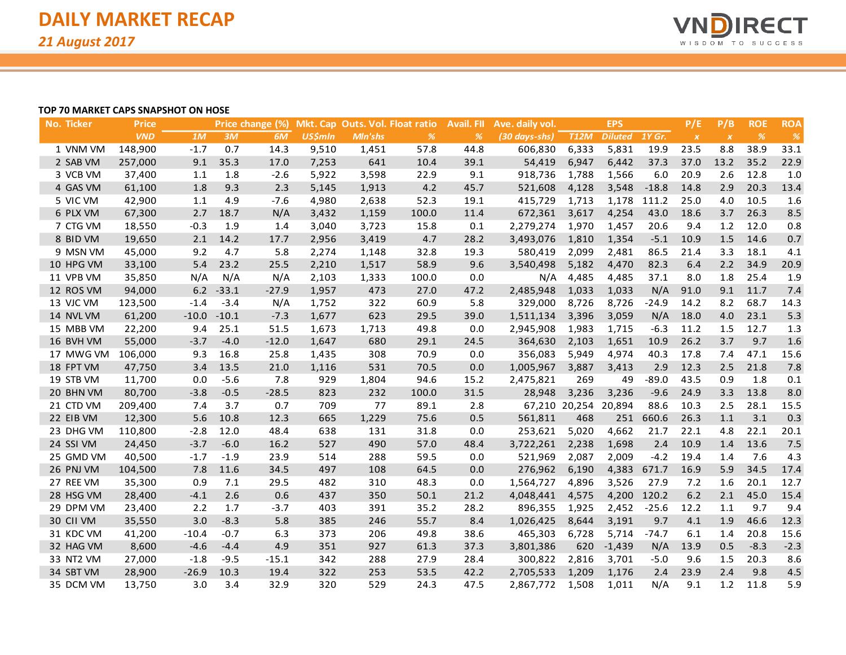

#### **TOP 70 MARKET CAPS SNAPSHOT ON HOSE**

| <b>No. Ticker</b> | <b>Price</b> |         |         | Price change (%) |                |         | Mkt. Cap Outs. Vol. Float ratio | Avail. Fll | Ave. daily vol. |                      | <b>EPS</b>     |             | P/E              | P/B              | <b>ROE</b> | <b>ROA</b> |
|-------------------|--------------|---------|---------|------------------|----------------|---------|---------------------------------|------------|-----------------|----------------------|----------------|-------------|------------------|------------------|------------|------------|
|                   | <b>VND</b>   | 1M      | 3M      | 6M               | <b>US\$mln</b> | Mln'shs | $\%$                            | %          | (30 days-shs)   | <b>T12M</b>          | <b>Diluted</b> | 1Y Gr.      | $\boldsymbol{X}$ | $\boldsymbol{X}$ | $\%$       | %          |
| 1 VNM VM          | 148,900      | $-1.7$  | 0.7     | 14.3             | 9,510          | 1,451   | 57.8                            | 44.8       | 606,830         | 6,333                | 5,831          | 19.9        | 23.5             | 8.8              | 38.9       | 33.1       |
| 2 SAB VM          | 257,000      | 9.1     | 35.3    | 17.0             | 7,253          | 641     | 10.4                            | 39.1       | 54,419          | 6,947                | 6,442          | 37.3        | 37.0             | 13.2             | 35.2       | 22.9       |
| 3 VCB VM          | 37,400       | 1.1     | 1.8     | $-2.6$           | 5,922          | 3,598   | 22.9                            | 9.1        | 918,736         | 1,788                | 1,566          | 6.0         | 20.9             | 2.6              | 12.8       | 1.0        |
| 4 GAS VM          | 61,100       | 1.8     | 9.3     | 2.3              | 5,145          | 1,913   | 4.2                             | 45.7       | 521,608         | 4,128                | 3,548          | $-18.8$     | 14.8             | 2.9              | 20.3       | 13.4       |
| 5 VIC VM          | 42,900       | 1.1     | 4.9     | $-7.6$           | 4,980          | 2,638   | 52.3                            | 19.1       | 415,729         | 1,713                | 1,178          | 111.2       | 25.0             | 4.0              | 10.5       | 1.6        |
| 6 PLX VM          | 67,300       | 2.7     | 18.7    | N/A              | 3,432          | 1,159   | 100.0                           | 11.4       | 672,361         | 3,617                | 4,254          | 43.0        | 18.6             | 3.7              | 26.3       | 8.5        |
| 7 CTG VM          | 18,550       | $-0.3$  | 1.9     | 1.4              | 3,040          | 3,723   | 15.8                            | 0.1        | 2,279,274       | 1,970                | 1,457          | 20.6        | 9.4              | 1.2              | 12.0       | 0.8        |
| 8 BID VM          | 19,650       | 2.1     | 14.2    | 17.7             | 2,956          | 3,419   | 4.7                             | 28.2       | 3,493,076       | 1,810                | 1,354          | $-5.1$      | 10.9             | 1.5              | 14.6       | 0.7        |
| 9 MSN VM          | 45,000       | 9.2     | 4.7     | 5.8              | 2,274          | 1,148   | 32.8                            | 19.3       | 580,419         | 2,099                | 2,481          | 86.5        | 21.4             | 3.3              | 18.1       | 4.1        |
| 10 HPG VM         | 33,100       | 5.4     | 23.2    | 25.5             | 2,210          | 1,517   | 58.9                            | 9.6        | 3,540,498       | 5,182                | 4,470          | 82.3        | 6.4              | 2.2              | 34.9       | 20.9       |
| 11 VPB VM         | 35,850       | N/A     | N/A     | N/A              | 2,103          | 1,333   | 100.0                           | 0.0        | N/A             | 4,485                | 4,485          | 37.1        | 8.0              | 1.8              | 25.4       | 1.9        |
| 12 ROS VM         | 94,000       | 6.2     | $-33.1$ | $-27.9$          | 1,957          | 473     | 27.0                            | 47.2       | 2,485,948       | 1,033                | 1,033          | N/A         | 91.0             | 9.1              | 11.7       | 7.4        |
| 13 VJC VM         | 123,500      | $-1.4$  | $-3.4$  | N/A              | 1,752          | 322     | 60.9                            | 5.8        | 329,000         | 8,726                | 8,726          | $-24.9$     | 14.2             | 8.2              | 68.7       | 14.3       |
| 14 NVL VM         | 61,200       | $-10.0$ | $-10.1$ | $-7.3$           | 1,677          | 623     | 29.5                            | 39.0       | 1,511,134       | 3,396                | 3,059          | N/A         | 18.0             | 4.0              | 23.1       | 5.3        |
| 15 MBB VM         | 22,200       | 9.4     | 25.1    | 51.5             | 1,673          | 1,713   | 49.8                            | 0.0        | 2,945,908       | 1,983                | 1,715          | $-6.3$      | 11.2             | 1.5              | 12.7       | 1.3        |
| 16 BVH VM         | 55,000       | $-3.7$  | $-4.0$  | $-12.0$          | 1,647          | 680     | 29.1                            | 24.5       | 364,630         | 2,103                | 1,651          | 10.9        | 26.2             | 3.7              | 9.7        | 1.6        |
| 17 MWG VM         | 106,000      | 9.3     | 16.8    | 25.8             | 1,435          | 308     | 70.9                            | 0.0        | 356,083         | 5,949                | 4,974          | 40.3        | 17.8             | 7.4              | 47.1       | 15.6       |
| 18 FPT VM         | 47,750       | 3.4     | 13.5    | 21.0             | 1,116          | 531     | 70.5                            | 0.0        | 1,005,967       | 3,887                | 3,413          | 2.9         | 12.3             | 2.5              | 21.8       | 7.8        |
| 19 STB VM         | 11,700       | 0.0     | $-5.6$  | 7.8              | 929            | 1,804   | 94.6                            | 15.2       | 2,475,821       | 269                  | 49             | $-89.0$     | 43.5             | 0.9              | 1.8        | 0.1        |
| 20 BHN VM         | 80,700       | $-3.8$  | $-0.5$  | $-28.5$          | 823            | 232     | 100.0                           | 31.5       | 28,948          | 3,236                | 3,236          | $-9.6$      | 24.9             | 3.3              | 13.8       | 8.0        |
| 21 CTD VM         | 209,400      | 7.4     | 3.7     | 0.7              | 709            | 77      | 89.1                            | 2.8        |                 | 67,210 20,254 20,894 |                | 88.6        | 10.3             | 2.5              | 28.1       | 15.5       |
| 22 EIB VM         | 12,300       | 5.6     | 10.8    | 12.3             | 665            | 1,229   | 75.6                            | 0.5        | 561,811         | 468                  | 251            | 660.6       | 26.3             | 1.1              | 3.1        | 0.3        |
| 23 DHG VM         | 110,800      | $-2.8$  | 12.0    | 48.4             | 638            | 131     | 31.8                            | 0.0        | 253,621         | 5,020                | 4,662          | 21.7        | 22.1             | 4.8              | 22.1       | 20.1       |
| 24 SSI VM         | 24,450       | $-3.7$  | $-6.0$  | 16.2             | 527            | 490     | 57.0                            | 48.4       | 3,722,261       | 2,238                | 1,698          | 2.4         | 10.9             | 1.4              | 13.6       | 7.5        |
| 25 GMD VM         | 40,500       | $-1.7$  | $-1.9$  | 23.9             | 514            | 288     | 59.5                            | 0.0        | 521,969         | 2,087                | 2,009          | $-4.2$      | 19.4             | 1.4              | 7.6        | 4.3        |
| 26 PNJ VM         | 104,500      | 7.8     | 11.6    | 34.5             | 497            | 108     | 64.5                            | 0.0        | 276,962         | 6,190                | 4,383          | 671.7       | 16.9             | 5.9              | 34.5       | 17.4       |
| 27 REE VM         | 35,300       | 0.9     | 7.1     | 29.5             | 482            | 310     | 48.3                            | 0.0        | 1,564,727       | 4,896                | 3,526          | 27.9        | 7.2              | 1.6              | 20.1       | 12.7       |
| 28 HSG VM         | 28,400       | $-4.1$  | 2.6     | 0.6              | 437            | 350     | 50.1                            | 21.2       | 4,048,441       | 4,575                |                | 4,200 120.2 | 6.2              | 2.1              | 45.0       | 15.4       |
| 29 DPM VM         | 23,400       | 2.2     | 1.7     | $-3.7$           | 403            | 391     | 35.2                            | 28.2       | 896,355         | 1,925                | 2,452          | $-25.6$     | 12.2             | 1.1              | 9.7        | 9.4        |
| 30 CII VM         | 35,550       | 3.0     | $-8.3$  | 5.8              | 385            | 246     | 55.7                            | 8.4        | 1,026,425       | 8,644                | 3,191          | 9.7         | 4.1              | 1.9              | 46.6       | 12.3       |
| 31 KDC VM         | 41,200       | $-10.4$ | $-0.7$  | 6.3              | 373            | 206     | 49.8                            | 38.6       | 465,303         | 6,728                | 5,714          | $-74.7$     | 6.1              | 1.4              | 20.8       | 15.6       |
| 32 HAG VM         | 8,600        | $-4.6$  | $-4.4$  | 4.9              | 351            | 927     | 61.3                            | 37.3       | 3,801,386       | 620                  | $-1,439$       | N/A         | 13.9             | 0.5              | $-8.3$     | $-2.3$     |
| 33 NT2 VM         | 27,000       | $-1.8$  | $-9.5$  | $-15.1$          | 342            | 288     | 27.9                            | 28.4       | 300,822         | 2,816                | 3,701          | $-5.0$      | 9.6              | 1.5              | 20.3       | 8.6        |
| 34 SBT VM         | 28,900       | $-26.9$ | 10.3    | 19.4             | 322            | 253     | 53.5                            | 42.2       | 2,705,533       | 1,209                | 1,176          | 2.4         | 23.9             | 2.4              | 9.8        | 4.5        |
| 35 DCM VM         | 13,750       | 3.0     | 3.4     | 32.9             | 320            | 529     | 24.3                            | 47.5       | 2,867,772       | 1,508                | 1,011          | N/A         | 9.1              | 1.2              | 11.8       | 5.9        |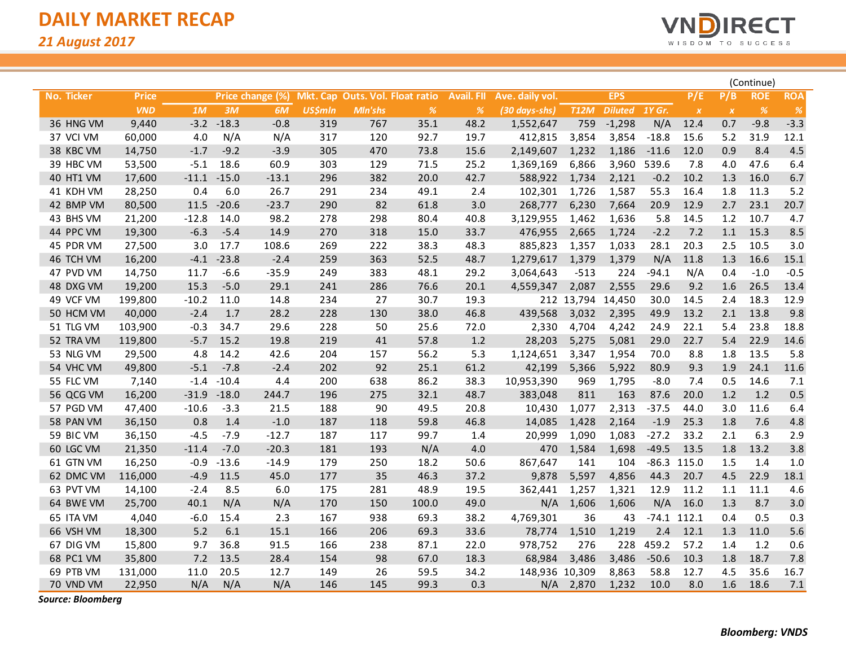

|            |              |         |               |                  |                |         |                                 |                   |                 |             |                |               |               |           | (Continue) |            |
|------------|--------------|---------|---------------|------------------|----------------|---------|---------------------------------|-------------------|-----------------|-------------|----------------|---------------|---------------|-----------|------------|------------|
| No. Ticker | <b>Price</b> |         |               | Price change (%) |                |         | Mkt. Cap Outs. Vol. Float ratio | <b>Avail. FII</b> | Ave. daily vol. |             | <b>EPS</b>     |               | P/E           | P/B       | <b>ROE</b> | <b>ROA</b> |
|            | <b>VND</b>   | 1M      | 3M            | 6M               | <b>US\$mln</b> | Mln'shs | $\%$                            | $\%$              | (30 days-shs)   | <b>T12M</b> | <b>Diluted</b> | <b>1Y Gr.</b> | $\pmb{X}$     | $\pmb{X}$ | %          | $\%$       |
| 36 HNG VM  | 9,440        | $-3.2$  | $-18.3$       | $-0.8$           | 319            | 767     | 35.1                            | 48.2              | 1,552,647       | 759         | $-1,298$       | N/A           | 12.4          | 0.7       | $-9.8$     | $-3.3$     |
| 37 VCI VM  | 60,000       | 4.0     | N/A           | N/A              | 317            | 120     | 92.7                            | 19.7              | 412,815         | 3,854       | 3,854          | $-18.8$       | 15.6          | 5.2       | 31.9       | 12.1       |
| 38 KBC VM  | 14,750       | $-1.7$  | $-9.2$        | $-3.9$           | 305            | 470     | 73.8                            | 15.6              | 2,149,607       | 1,232       | 1,186          | $-11.6$       | 12.0          | 0.9       | 8.4        | 4.5        |
| 39 HBC VM  | 53,500       | $-5.1$  | 18.6          | 60.9             | 303            | 129     | 71.5                            | 25.2              | 1,369,169       | 6,866       | 3,960          | 539.6         | 7.8           | 4.0       | 47.6       | 6.4        |
| 40 HT1 VM  | 17,600       |         | $-11.1 -15.0$ | $-13.1$          | 296            | 382     | 20.0                            | 42.7              | 588,922         | 1,734       | 2,121          | $-0.2$        | 10.2          | 1.3       | 16.0       | 6.7        |
| 41 KDH VM  | 28,250       | 0.4     | 6.0           | 26.7             | 291            | 234     | 49.1                            | 2.4               | 102,301         | 1,726       | 1,587          | 55.3          | 16.4          | 1.8       | 11.3       | 5.2        |
| 42 BMP VM  | 80,500       | 11.5    | $-20.6$       | $-23.7$          | 290            | 82      | 61.8                            | 3.0               | 268,777         | 6,230       | 7,664          | 20.9          | 12.9          | 2.7       | 23.1       | 20.7       |
| 43 BHS VM  | 21,200       | $-12.8$ | 14.0          | 98.2             | 278            | 298     | 80.4                            | 40.8              | 3,129,955       | 1,462       | 1,636          | 5.8           | 14.5          | $1.2$     | 10.7       | 4.7        |
| 44 PPC VM  | 19,300       | $-6.3$  | $-5.4$        | 14.9             | 270            | 318     | 15.0                            | 33.7              | 476,955         | 2,665       | 1,724          | $-2.2$        | 7.2           | 1.1       | 15.3       | 8.5        |
| 45 PDR VM  | 27,500       | 3.0     | 17.7          | 108.6            | 269            | 222     | 38.3                            | 48.3              | 885,823         | 1,357       | 1,033          | 28.1          | 20.3          | 2.5       | 10.5       | 3.0        |
| 46 TCH VM  | 16,200       | $-4.1$  | $-23.8$       | $-2.4$           | 259            | 363     | 52.5                            | 48.7              | 1,279,617       | 1,379       | 1,379          | N/A           | 11.8          | 1.3       | 16.6       | 15.1       |
| 47 PVD VM  | 14,750       | 11.7    | $-6.6$        | $-35.9$          | 249            | 383     | 48.1                            | 29.2              | 3,064,643       | $-513$      | 224            | $-94.1$       | N/A           | 0.4       | $-1.0$     | $-0.5$     |
| 48 DXG VM  | 19,200       | 15.3    | $-5.0$        | 29.1             | 241            | 286     | 76.6                            | 20.1              | 4,559,347       | 2,087       | 2,555          | 29.6          | 9.2           | 1.6       | 26.5       | 13.4       |
| 49 VCF VM  | 199,800      | $-10.2$ | 11.0          | 14.8             | 234            | 27      | 30.7                            | 19.3              |                 | 212 13,794  | 14,450         | 30.0          | 14.5          | 2.4       | 18.3       | 12.9       |
| 50 HCM VM  | 40,000       | $-2.4$  | 1.7           | 28.2             | 228            | 130     | 38.0                            | 46.8              | 439,568         | 3,032       | 2,395          | 49.9          | 13.2          | 2.1       | 13.8       | 9.8        |
| 51 TLG VM  | 103,900      | $-0.3$  | 34.7          | 29.6             | 228            | 50      | 25.6                            | 72.0              | 2,330           | 4,704       | 4,242          | 24.9          | 22.1          | 5.4       | 23.8       | 18.8       |
| 52 TRA VM  | 119,800      | $-5.7$  | 15.2          | 19.8             | 219            | 41      | 57.8                            | 1.2               | 28,203          | 5,275       | 5,081          | 29.0          | 22.7          | 5.4       | 22.9       | 14.6       |
| 53 NLG VM  | 29,500       | 4.8     | 14.2          | 42.6             | 204            | 157     | 56.2                            | 5.3               | 1,124,651       | 3,347       | 1,954          | 70.0          | 8.8           | 1.8       | 13.5       | 5.8        |
| 54 VHC VM  | 49,800       | $-5.1$  | $-7.8$        | $-2.4$           | 202            | 92      | 25.1                            | 61.2              | 42,199          | 5,366       | 5,922          | 80.9          | 9.3           | 1.9       | 24.1       | 11.6       |
| 55 FLC VM  | 7,140        | $-1.4$  | $-10.4$       | 4.4              | 200            | 638     | 86.2                            | 38.3              | 10,953,390      | 969         | 1,795          | $-8.0$        | 7.4           | 0.5       | 14.6       | 7.1        |
| 56 QCG VM  | 16,200       | $-31.9$ | $-18.0$       | 244.7            | 196            | 275     | 32.1                            | 48.7              | 383,048         | 811         | 163            | 87.6          | 20.0          | 1.2       | 1.2        | $0.5\,$    |
| 57 PGD VM  | 47,400       | $-10.6$ | $-3.3$        | 21.5             | 188            | 90      | 49.5                            | 20.8              | 10,430          | 1,077       | 2,313          | $-37.5$       | 44.0          | 3.0       | 11.6       | 6.4        |
| 58 PAN VM  | 36,150       | 0.8     | 1.4           | $-1.0$           | 187            | 118     | 59.8                            | 46.8              | 14,085          | 1,428       | 2,164          | $-1.9$        | 25.3          | 1.8       | 7.6        | 4.8        |
| 59 BIC VM  | 36,150       | $-4.5$  | $-7.9$        | $-12.7$          | 187            | 117     | 99.7                            | 1.4               | 20,999          | 1,090       | 1,083          | $-27.2$       | 33.2          | 2.1       | 6.3        | 2.9        |
| 60 LGC VM  | 21,350       | $-11.4$ | $-7.0$        | $-20.3$          | 181            | 193     | N/A                             | $4.0\,$           | 470             | 1,584       | 1,698          | $-49.5$       | 13.5          | 1.8       | 13.2       | 3.8        |
| 61 GTN VM  | 16,250       | $-0.9$  | $-13.6$       | $-14.9$          | 179            | 250     | 18.2                            | 50.6              | 867,647         | 141         | 104            |               | $-86.3$ 115.0 | 1.5       | 1.4        | 1.0        |
| 62 DMC VM  | 116,000      | $-4.9$  | 11.5          | 45.0             | 177            | 35      | 46.3                            | 37.2              | 9,878           | 5,597       | 4,856          | 44.3          | 20.7          | 4.5       | 22.9       | 18.1       |
| 63 PVT VM  | 14,100       | $-2.4$  | 8.5           | 6.0              | 175            | 281     | 48.9                            | 19.5              | 362,441         | 1,257       | 1,321          | 12.9          | 11.2          | 1.1       | 11.1       | 4.6        |
| 64 BWE VM  | 25,700       | 40.1    | N/A           | N/A              | 170            | 150     | 100.0                           | 49.0              | N/A             | 1,606       | 1,606          | N/A           | 16.0          | 1.3       | 8.7        | 3.0        |
| 65 ITA VM  | 4,040        | $-6.0$  | 15.4          | 2.3              | 167            | 938     | 69.3                            | 38.2              | 4,769,301       | 36          | 43             |               | $-74.1$ 112.1 | 0.4       | 0.5        | 0.3        |
| 66 VSH VM  | 18,300       | 5.2     | 6.1           | 15.1             | 166            | 206     | 69.3                            | 33.6              | 78,774          | 1,510       | 1,219          | 2.4           | 12.1          | 1.3       | 11.0       | 5.6        |
| 67 DIG VM  | 15,800       | 9.7     | 36.8          | 91.5             | 166            | 238     | 87.1                            | 22.0              | 978,752         | 276         | 228            | 459.2         | 57.2          | 1.4       | 1.2        | 0.6        |
| 68 PC1 VM  | 35,800       | 7.2     | 13.5          | 28.4             | 154            | 98      | 67.0                            | 18.3              | 68,984          | 3,486       | 3,486          | $-50.6$       | 10.3          | 1.8       | 18.7       | 7.8        |
| 69 PTB VM  | 131,000      | 11.0    | 20.5          | 12.7             | 149            | 26      | 59.5                            | 34.2              | 148,936         | 10,309      | 8,863          | 58.8          | 12.7          | 4.5       | 35.6       | 16.7       |
| 70 VND VM  | 22,950       | N/A     | N/A           | N/A              | 146            | 145     | 99.3                            | 0.3               | N/A             | 2,870       | 1,232          | 10.0          | 8.0           | 1.6       | 18.6       | 7.1        |

*Source: Bloomberg*